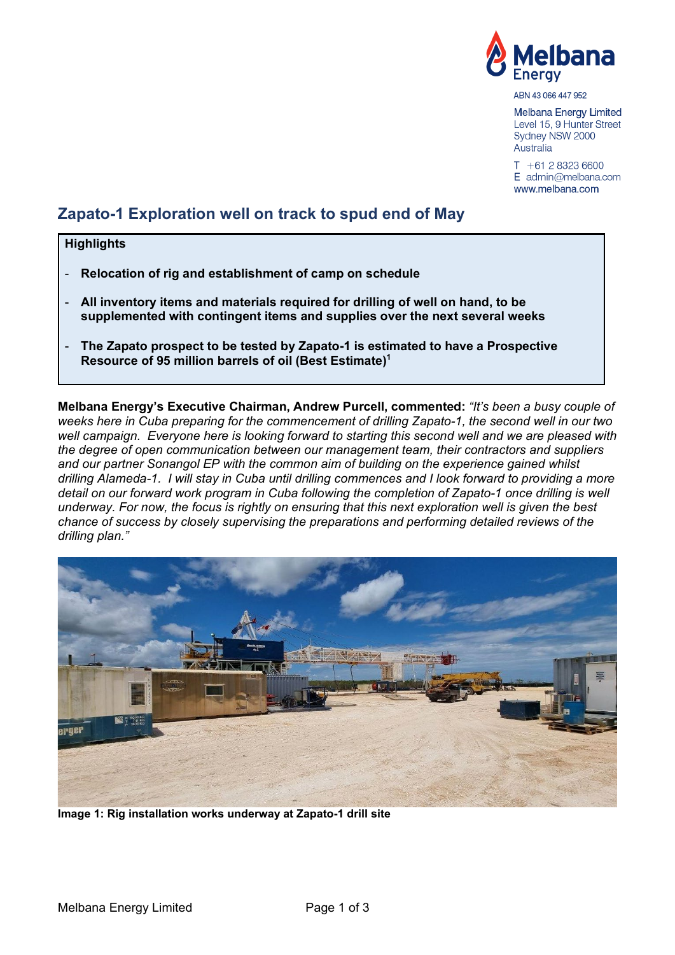

ABN 43 066 447 952

Melbana Energy Limited Level 15, 9 Hunter Street Sydney NSW 2000 Australia

 $T + 61283236600$  $E$  admin@melbana.com www.melbana.com

# **Zapato-1 Exploration well on track to spud end of May**

## **Highlights**

- **Relocation of rig and establishment of camp on schedule**
- **All inventory items and materials required for drilling of well on hand, to be supplemented with contingent items and supplies over the next several weeks**
- **The Zapato prospect to be tested by Zapato-1 is estimated to have a Prospective Resource of 95 million barrels of oil (Best Estimate)1**

**Melbana Energy's Executive Chairman, Andrew Purcell, commented:** *"It's been a busy couple of weeks here in Cuba preparing for the commencement of drilling Zapato-1, the second well in our two well campaign. Everyone here is looking forward to starting this second well and we are pleased with the degree of open communication between our management team, their contractors and suppliers and our partner Sonangol EP with the common aim of building on the experience gained whilst drilling Alameda-1. I will stay in Cuba until drilling commences and I look forward to providing a more detail on our forward work program in Cuba following the completion of Zapato-1 once drilling is well underway. For now, the focus is rightly on ensuring that this next exploration well is given the best chance of success by closely supervising the preparations and performing detailed reviews of the drilling plan."* 



**Image 1: Rig installation works underway at Zapato-1 drill site**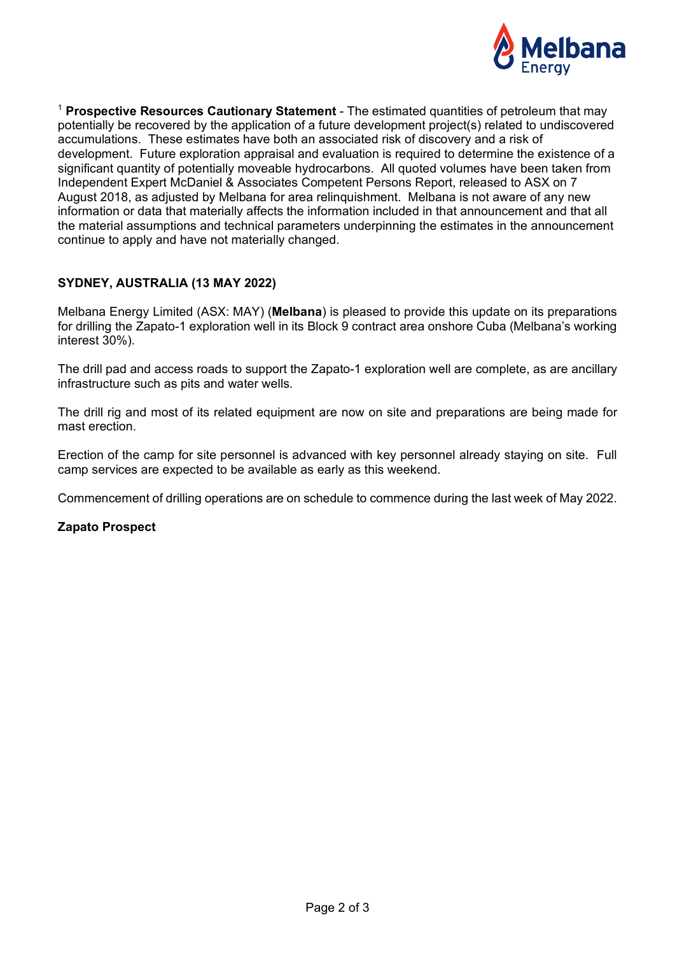

<sup>1</sup> **Prospective Resources Cautionary Statement** - The estimated quantities of petroleum that may potentially be recovered by the application of a future development project(s) related to undiscovered accumulations. These estimates have both an associated risk of discovery and a risk of development. Future exploration appraisal and evaluation is required to determine the existence of a significant quantity of potentially moveable hydrocarbons. All quoted volumes have been taken from Independent Expert McDaniel & Associates Competent Persons Report, released to ASX on 7 August 2018, as adjusted by Melbana for area relinquishment. Melbana is not aware of any new information or data that materially affects the information included in that announcement and that all the material assumptions and technical parameters underpinning the estimates in the announcement continue to apply and have not materially changed.

## **SYDNEY, AUSTRALIA (13 MAY 2022)**

Melbana Energy Limited (ASX: MAY) (**Melbana**) is pleased to provide this update on its preparations for drilling the Zapato-1 exploration well in its Block 9 contract area onshore Cuba (Melbana's working interest 30%).

The drill pad and access roads to support the Zapato-1 exploration well are complete, as are ancillary infrastructure such as pits and water wells.

The drill rig and most of its related equipment are now on site and preparations are being made for mast erection.

Erection of the camp for site personnel is advanced with key personnel already staying on site. Full camp services are expected to be available as early as this weekend.

Commencement of drilling operations are on schedule to commence during the last week of May 2022.

#### **Zapato Prospect**